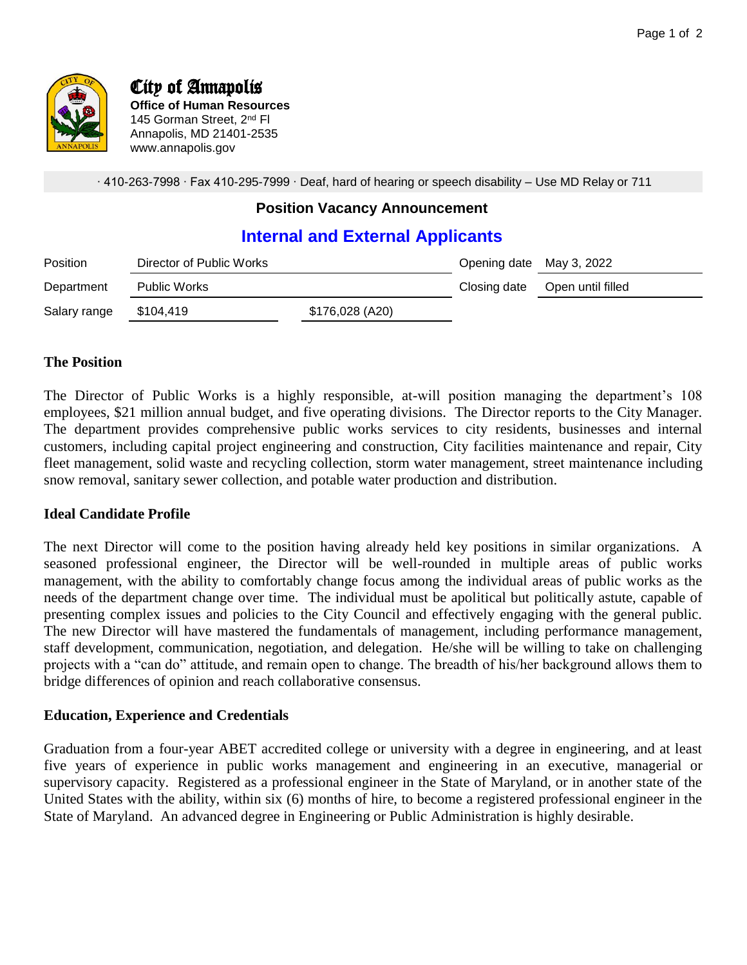

# City of Annapolis

**Office of Human Resources** 145 Gorman Street, 2<sup>nd</sup> Fl Annapolis, MD 21401-2535 www.annapolis.gov

∙ 410-263-7998 ∙ Fax 410-295-7999 ∙ Deaf, hard of hearing or speech disability – Use MD Relay or 711

## **Position Vacancy Announcement**

# **Internal and External Applicants**

| <b>Position</b> | Director of Public Works |                 | Opening date May 3, 2022 |                   |
|-----------------|--------------------------|-----------------|--------------------------|-------------------|
| Department      | Public Works             |                 | Closing date             | Open until filled |
| Salary range    | \$104,419                | \$176,028 (A20) |                          |                   |

#### **The Position**

The Director of Public Works is a highly responsible, at-will position managing the department's 108 employees, \$21 million annual budget, and five operating divisions. The Director reports to the City Manager. The department provides comprehensive public works services to city residents, businesses and internal customers, including capital project engineering and construction, City facilities maintenance and repair, City fleet management, solid waste and recycling collection, storm water management, street maintenance including snow removal, sanitary sewer collection, and potable water production and distribution.

#### **Ideal Candidate Profile**

The next Director will come to the position having already held key positions in similar organizations. A seasoned professional engineer, the Director will be well-rounded in multiple areas of public works management, with the ability to comfortably change focus among the individual areas of public works as the needs of the department change over time. The individual must be apolitical but politically astute, capable of presenting complex issues and policies to the City Council and effectively engaging with the general public. The new Director will have mastered the fundamentals of management, including performance management, staff development, communication, negotiation, and delegation. He/she will be willing to take on challenging projects with a "can do" attitude, and remain open to change. The breadth of his/her background allows them to bridge differences of opinion and reach collaborative consensus.

#### **Education, Experience and Credentials**

Graduation from a four-year ABET accredited college or university with a degree in engineering, and at least five years of experience in public works management and engineering in an executive, managerial or supervisory capacity. Registered as a professional engineer in the State of Maryland, or in another state of the United States with the ability, within six (6) months of hire, to become a registered professional engineer in the State of Maryland. An advanced degree in Engineering or Public Administration is highly desirable.